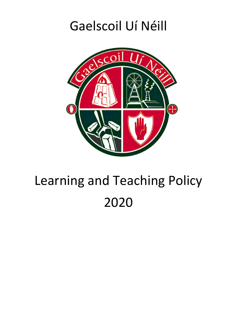# Gaelscoil Uí Néill



# Learning and Teaching Policy 2020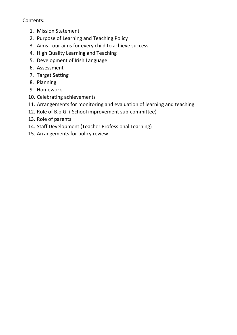#### Contents:

- 1. Mission Statement
- 2. Purpose of Learning and Teaching Policy
- 3. Aims our aims for every child to achieve success
- 4. High Quality Learning and Teaching
- 5. Development of Irish Language
- 6. Assessment
- 7. Target Setting
- 8. Planning
- 9. Homework
- 10. Celebrating achievements
- 11. Arrangements for monitoring and evaluation of learning and teaching
- 12. Role of B.o.G. ( School improvement sub-committee)
- 13. Role of parents
- 14. Staff Development (Teacher Professional Learning)
- 15. Arrangements for policy review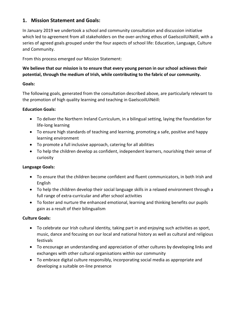#### **1. Mission Statement and Goals:**

In January 2019 we undertook a school and community consultation and discussion initiative which led to agreement from all stakeholders on the over-arching ethos of GaelscoilUíNéill, with a series of agreed goals grouped under the four aspects of school life: Education, Language, Culture and Community.

From this process emerged our Mission Statement:

#### **We believe that our mission is to ensure that every young person in our school achieves their potential, through the medium of Irish, while contributing to the fabric of our community.**

#### **Goals:**

The following goals, generated from the consultation described above, are particularly relevant to the promotion of high quality learning and teaching in GaelscoilUíNéill:

#### **Education Goals:**

- To deliver the Northern Ireland Curriculum, in a bilingual setting, laying the foundation for life-long learning
- To ensure high standards of teaching and learning, promoting a safe, positive and happy learning environment
- To promote a full inclusive approach, catering for all abilities
- To help the children develop as confident, independent learners, nourishing their sense of curiosity

#### **Language Goals:**

- To ensure that the children become confident and fluent communicators, in both Irish and English
- To help the children develop their social language skills in a relaxed environment through a full range of extra-curricular and after school activities
- To foster and nurture the enhanced emotional, learning and thinking benefits our pupils gain as a result of their bilingualism

#### **Culture Goals:**

- To celebrate our Irish cultural identity, taking part in and enjoying such activities as sport, music, dance and focusing on our local and national history as well as cultural and religious festivals
- To encourage an understanding and appreciation of other cultures by developing links and exchanges with other cultural organisations within our community
- To embrace digital culture responsibly, incorporating social media as appropriate and developing a suitable on-line presence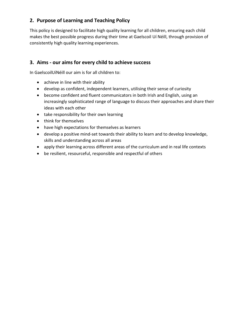# **2. Purpose of Learning and Teaching Policy**

This policy is designed to facilitate high quality learning for all children, ensuring each child makes the best possible progress during their time at Gaelscoil Uí Néill, through provision of consistently high quality learning experiences.

# **3. Aims - our aims for every child to achieve success**

In GaelscoilUíNéill our aim is for all children to:

- achieve in line with their ability
- develop as confident, independent learners, utilising their sense of curiosity
- become confident and fluent communicators in both Irish and English, using an increasingly sophisticated range of language to discuss their approaches and share their ideas with each other
- take responsibility for their own learning
- think for themselves
- have high expectations for themselves as learners
- develop a positive mind-set towards their ability to learn and to develop knowledge, skills and understanding across all areas
- apply their learning across different areas of the curriculum and in real life contexts
- be resilient, resourceful, responsible and respectful of others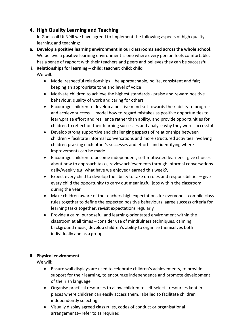# **4. High Quality Learning and Teaching**

In Gaelscoil Uí Néill we have agreed to implement the following aspects of high quality learning and teaching:

- **a. Develop a positive learning environment in our classrooms and across the whole school:** We believe a positive learning environment is one where every person feels comfortable, has a sense of rapport with their teachers and peers and believes they can be successful.
- **i. Relationships for learning – child: teacher; child: child**

We will:

- Model respectful relationships be approachable, polite, consistent and fair; keeping an appropriate tone and level of voice
- Motivate children to achieve the highest standards praise and reward positive behaviour, quality of work and caring for others
- Encourage children to develop a positive mind-set towards their ability to progress and achieve success – model how to regard mistakes as positive opportunities to learn,praise effort and resilience rather than ability, and provide opportunities for children to reflect on their learning successes and analyse why they were successful
- Develop strong supportive and challenging aspects of relationships between children – facilitate informal conversations and more structured activities involving children praising each other's successes and efforts and identifying where improvements can be made
- Encourage children to become independent, self-motivated learners give choices about how to approach tasks, review achievements through informal conversations daily/weekly e.g. what have we enjoyed/learned this week?,
- $\bullet$  Expect every child to develop the ability to take on roles and responsibilities give every child the opportunity to carry out meaningful jobs within the classroom during the year
- Make children aware of the teachers high expectations for everyone compile class rules together to define the expected positive behaviours, agree success criteria for learning tasks together, revisit expectations regularly
- Provide a calm, purposeful and learning-orientated environment within the classroom at all times – consider use of mindfulness techniques, calming background music, develop children's ability to organise themselves both individually and as a group

#### **ii. Physical environment**

We will:

- Ensure wall displays are used to celebrate children's achievements, to provide support for their learning, to encourage independence and promote development of the Irish language
- Organise practical resources to allow children to self-select resources kept in places where children can easily access them, labelled to facilitate children independently selecting
- Visually display agreed class rules, codes of conduct or organisational arrangements– refer to as required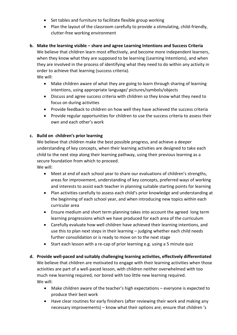- Set tables and furniture to facilitate flexible group working
- Plan the layout of the classroom carefully to provide a stimulating, child-friendly, clutter-free working environment

#### **b. Make the learning visible – share and agree Learning Intentions and Success Criteria**

We believe that children learn most effectively, and become more independent learners, when they know what they are supposed to be learning (Learning Intentions), and when they are involved in the process of identifying what they need to do within any activity in order to achieve that learning (success criteria). We will:

 Make children aware of what they are going to learn through sharing of learning intentions, using appropriate language/ pictures/symbols/objects

- Discuss and agree success criteria with children so they know what they need to focus on during activities
- Provide feedback to children on how well they have achieved the success criteria
- Provide regular opportunities for children to use the success criteria to assess their own and each other's work

#### **c. Build on children's prior learning**

We believe that children make the best possible progress, and achieve a deeper understanding of key concepts, when their learning activities are designed to take each child to the next step along their learning pathway, using their previous learning as a secure foundation from which to proceed. We will:

- Meet at end of each school year to share our evaluations of children's strengths, areas for improvement, understanding of key concepts, preferred ways of working and interests to assist each teacher in planning suitable starting points for learning
- Plan activities carefully to assess each child's prior knowledge and understanding at the beginning of each school year, and when introducing new topics within each curricular area
- Ensure medium and short term planning takes into account the agreed long term learning progressions which we have produced for each area of the curriculum
- Carefully evaluate how well children have achieved their learning intentions, and use this to plan next steps in their learning – judging whether each child needs further consolidation or is ready to move on to the next stage
- Start each lesson with a re-cap of prior learning e.g. using a 5 minute quiz
- **d. Provide well-paced and suitably challenging learning activities, effectively differentiated** We believe that children are motivated to engage with their learning activities when those activities are part of a well-paced lesson, with children neither overwhelmed with too much new learning required, nor bored with too little new learning required. We will:
	- Make children aware of the teacher's high expectations everyone is expected to produce their best work
	- Have clear routines for early finishers (after reviewing their work and making any necessary improvements) – know what their options are; ensure that children 's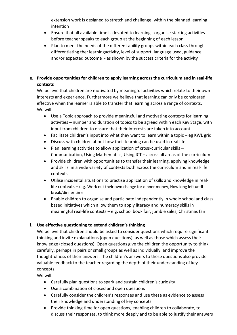extension work is designed to stretch and challenge, within the planned learning intention

- Ensure that all available time is devoted to learning organise starting activities before teacher speaks to each group at the beginning of each lesson
- Plan to meet the needs of the different ability groups within each class through differentiating the: learningactivity, level of support, language used, guidance and/or expected outcome - as shown by the success criteria for the activity

#### **e. Provide opportunities for children to apply learning across the curriculum and in real-life contexts**

We believe that children are motivated by meaningful activities which relate to their own interests and experience. Furthermore we believe that learning can only be considered effective when the learner is able to transfer that learning across a range of contexts. We will:

- Use a Topic approach to provide meaningful and motivating contexts for learning activities – number and duration of topics to be agreed within each Key Stage, with input from children to ensure that their interests are taken into account
- Facilitate children's input into what they want to learn within a topic eg KWL grid
- Discuss with children about how their learning can be used in real life
- Plan learning activities to allow application of cross-curricular skills Communication, Using Mathematics, Using ICT – across all areas of the curriculum
- Provide children with opportunities to transfer their learning, applying knowledge and skills in a wide variety of contexts both across the curriculum and in real-life contexts
- Utilise incidental situations to practise application of skills and knowledge in reallife contexts – e.g. Work out their own change for dinner money, How long left until break/dinner time
- Enable children to organise and participate independently in whole school and class based initiatives which allow them to apply literacy and numeracy skills in meaningful real-life contexts – e.g. school book fair, jumble sales, Christmas fair

#### **f. Use effective questioning to extend children's thinking**

We believe that children should be asked to consider questions which require significant thinking and invite explanations (open questions), as well as those which assess their knowledge (closed questions). Open questions give the children the opportunity to think carefully, perhaps in pairs or small groups as well as individually, and improve the thoughtfulness of their answers. The children's answers to these questions also provide valuable feedback to the teacher regarding the depth of their understanding of key concepts.

We will:

- Carefully plan questions to spark and sustain children's curiosity
- Use a combination of closed and open questions
- Carefully consider the children's responses and use these as evidence to assess their knowledge and understanding of key concepts
- Provide thinking time for open questions, enabling children to collaborate, to discuss their responses, to think more deeply and to be able to justify their answers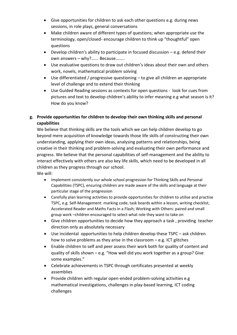- Give opportunities for children to ask each other questions e.g. during news sessions, in role plays, general conversations
- Make children aware of different types of questions; when appropriate use the terminology, open/closed- encourage children to think up "thoughtful" open questions
- $\bullet$  Develop children's ability to participate in focused discussion  $-e.g.$  defend their own answers – why?...... Because……..
- Use evaluative questions to draw out children's ideas about their own and others work, novels, mathematical problem solving
- Use differentiated / progressive questioning to give all children an appropriate level of challenge and to extend their thinking
- Use Guided Reading sessions as contexts for open questions look for cues from pictures and text to develop children's ability to infer meaning e.g what season is it? How do you know?

#### **g. Provide opportunities for children to develop their own thinking skills and personal capabilities**

We believe that thinking skills are the tools which we can help children develop to go beyond mere acquisition of knowledge towards those life skills of constructing their own understanding, applying their own ideas, analysing patterns and relationships, being creative in their thinking and problem-solving and evaluating their own performance and progress. We believe that the personal capabilities of self-management and the ability to interact effectively with others are also key life skills, which need to be developed in all children as they progress through our school. We will:

- Implement consistently our whole school progression for Thinking Skills and Personal Capabilities (TSPC), ensuring children are made aware of the skills and language at their particular stage of the progression
- Carefully plan learning activities to provide opportunities for children to utilise and practise TSPC, e.g. Self-Management: marking code, task boards within a lesson, writing checklist, Accelerated Reader and Maths Facts in a Flash; Working with Others: paired and small group work –children encouraged to select what role they want to take on
- Give children opportunities to decide how they approach a task , providing teacher direction only as absolutely necessary
- Use incidental opportunities to help children develop these TSPC ask children how to solve problems as they arise in the classroom  $-e.g.$  ICT glitches
- Enable children to self and peer assess their work both for quality of content and quality of skills shown – e.g. "How well did you work together as a group? Give some examples."
- Celebrate achievements in TSPC through certificates presented at weekly assemblies
- Provide children with regular open-ended problem-solving activities e.g mathematical investigations, challenges in play-based learning, ICT coding challenges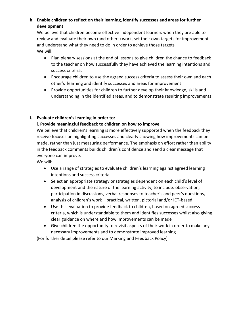#### **h. Enable children to reflect on their learning, identify successes and areas for further development**

We believe that children become effective independent learners when they are able to review and evaluate their own (and others) work, set their own targets for improvement and understand what they need to do in order to achieve those targets. We will:

- Plan plenary sessions at the end of lessons to give children the chance to feedback to the teacher on how successfully they have achieved the learning intentions and success criteria,
- Encourage children to use the agreed success criteria to assess their own and each other's learning and identify successes and areas for improvement
- Provide opportunities for children to further develop their knowledge, skills and understanding in the identified areas, and to demonstrate resulting improvements

#### **i. Evaluate children's learning in order to:**

#### **i. Provide meaningful feedback to children on how to improve**

We believe that children's learning is more effectively supported when the feedback they receive focuses on highlighting successes and clearly showing how improvements can be made, rather than just measuring performance. The emphasis on effort rather than ability in the feedback comments builds children's confidence and send a clear message that everyone can improve.

We will:

- Use a range of strategies to evaluate children's learning against agreed learning intentions and success criteria
- Select an appropriate strategy or strategies dependent on each child's level of development and the nature of the learning activity, to include: observation, participation in discussions, verbal responses to teacher's and peer's questions, analysis of children's work – practical, written, pictorial and/or ICT-based
- Use this evaluation to provide feedback to children, based on agreed success criteria, which is understandable to them and identifies successes whilst also giving clear guidance on where and how improvements can be made
- Give children the opportunity to revisit aspects of their work in order to make any necessary improvements and to demonstrate improved learning

(For further detail please refer to our Marking and Feedback Policy)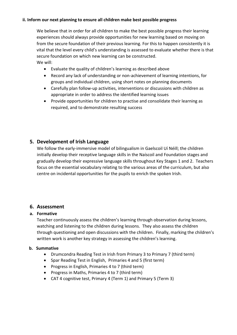#### **ii. Inform our next planning to ensure all children make best possible progress**

We believe that in order for all children to make the best possible progress their learning experiences should always provide opportunities for new learning based on moving on from the secure foundation of their previous learning. For this to happen consistently it is vital that the level every child's understanding is assessed to evaluate whether there is that secure foundation on which new learning can be constructed. We will:

- Evaluate the quality of children's learning as described above
- Record any lack of understanding or non-achievement of learning intentions, for groups and individual children, using short notes on planning documents
- Carefully plan follow-up activities, interventions or discussions with children as appropriate in order to address the identified learning issues
- Provide opportunities for children to practise and consolidate their learning as required, and to demonstrate resulting success

#### **5. Development of Irish Language**

We follow the early-immersive model of bilingualism in Gaelscoil Uí Néill; the children initially develop their receptive language skills in the Naíscoil and Foundation stages and gradually develop their expressive language skills throughout Key Stages 1 and 2. Teachers focus on the essential vocabulary relating to the various areas of the curriculum, but also centre on incidental opportunities for the pupils to enrich the spoken Irish.

#### **6. Assessment**

#### **a. Formative**

Teacher continuously assess the children's learning through observation during lessons, watching and listening to the children during lessons. They also assess the children through questioning and open discussions with the children. Finally, marking the children's written work is another key strategy in assessing the children's learning.

#### **b. Summative**

- Drumcondra Reading Test in Irish from Primary 3 to Primary 7 (third term)
- Spar Reading Test in English, Primaries 4 and 5 (first term)
- Progress in English, Primaries 4 to 7 (third term)
- Progress in Maths, Primaries 4 to 7 (third term)
- CAT 4 cognitive test, Primary 4 (Term 1) and Primary 5 (Term 3)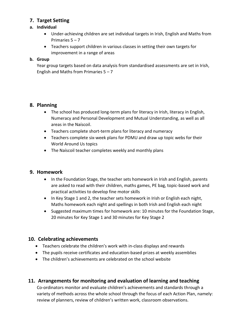#### **7. Target Setting**

#### **a. Individual**

- Under-achieving children are set individual targets in Irish, English and Maths from Primaries 5 – 7
- Teachers support children in various classes in setting their own targets for improvement in a range of areas

#### **b. Group**

Year group targets based on data analysis from standardised assessments are set in Irish, English and Maths from Primaries  $5 - 7$ 

#### **8. Planning**

- The school has produced long-term plans for literacy in Irish, literacy in English, Numeracy and Personal Development and Mutual Understanding, as well as all areas in the Naíscoil.
- Teachers complete short-term plans for literacy and numeracy
- Teachers complete six-week plans for PDMU and draw up topic webs for their World Around Us topics
- The Naíscoil teacher completes weekly and monthly plans

#### **9. Homework**

- In the Foundation Stage, the teacher sets homework in Irish and English, parents are asked to read with their children, maths games, PE bag, topic-based work and practical activities to develop fine motor skills
- In Key Stage 1 and 2, the teacher sets homework in Irish or English each night, Maths homework each night and spellings in both Irish and English each night
- Suggested maximum times for homework are: 10 minutes for the Foundation Stage, 20 minutes for Key Stage 1 and 30 minutes for Key Stage 2

#### **10. Celebrating achievements**

- Teachers celebrate the children's work with in-class displays and rewards
- The pupils receive certificates and education-based prizes at weekly assemblies
- The children's achievements are celebrated on the school website

#### **11. Arrangements for monitoring and evaluation of learning and teaching**

Co-ordinators monitor and evaluate children's achievements and standards through a variety of methods across the whole school through the focus of each Action Plan, namely: review of planners, review of children's written work, classroom observations.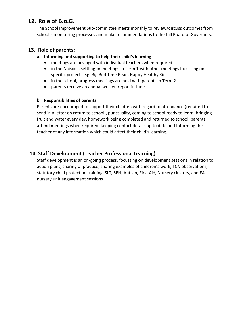# **12. Role of B.o.G.**

The School Improvement Sub-committee meets monthly to review/discuss outcomes from school's monitoring processes and make recommendations to the full Board of Governors.

#### **13. Role of parents:**

#### **a. Informing and supporting to help their child's learning**

- meetings are arranged with individual teachers when required
- in the Naíscoil, settling-in meetings in Term 1 with other meetings focussing on specific projects e.g. Big Bed Time Read, Happy Healthy Kids
- in the school, progress meetings are held with parents in Term 2
- parents receive an annual written report in June

#### **b. Responsibilities of parents**

Parents are encouraged to support their children with regard to attendance (required to send in a letter on return to school), punctuality, coming to school ready to learn, bringing fruit and water every day, homework being completed and returned to school, parents attend meetings when required, keeping contact details up to date and Informing the teacher of any information which could affect their child's learning.

#### **14. Staff Development (Teacher Professional Learning)**

Staff development is an on-going process, focussing on development sessions in relation to action plans, sharing of practice, sharing examples of children's work, TCN observations, statutory child protection training, SLT, SEN, Autism, First Aid, Nursery clusters, and EA nursery unit engagement sessions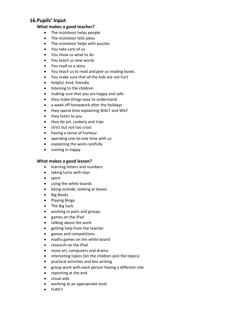#### **16.Pupils' Input**

#### **What makes a good teacher?**

- The múinteoir helps people
- The múinteoir tells jokes
- The múinteoir helps with puzzles
- You take care of us
- You show us what to do
- You teach us new words
- You read us a story
- You teach us to read and give us reading books
- You make sure that all the kids are not hurt
- helpful, kind, friendly
- listening to the children
- making sure that you are happy and safe
- they make things easy to understand
- a week off homework after the holidays
- they spend time explaining WALT and WILF
- they listen to you
- they do art, cookery and trips
- strict but not too cross
- having a sense of humour
- spending one-to-one time with us
- explaining the work carefully
- coming in happy

#### **What makes a good lesson?**

- learning letters and numbers
- taking turns with toys
- sport
- using the white boards
- being outside, looking at leaves
- Big Books
- Playing Bingo
- The Big Sack
- working in pairs and groups
- games on the iPad
- talking about the work
- getting help from the teacher
- games and competitions
- maths games on the white board
- research on the iPad
- more art, computers and drama
- interesting topics (let the children pick the topics)
- practical activities and less writing
- group work with each person having a different role
- reporting at the end
- visual aids
- working at an appropriate level
- $\bullet$  FUN!!!